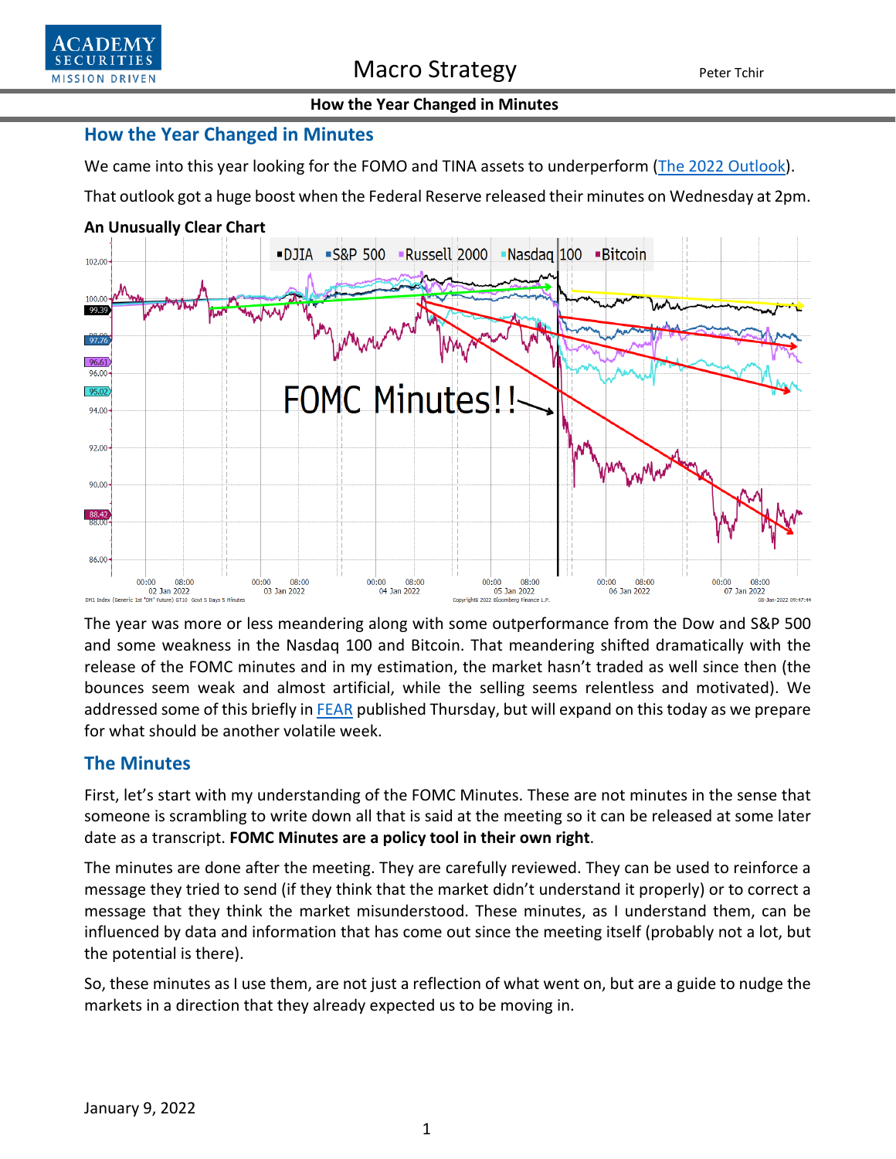

### **How the Year Changed in Minutes**

### **How the Year Changed in Minutes**

We came into this year looking for the FOMO and TINA assets to underperform [\(The 2022 Outlook\)](https://www.academysecurities.com/wordpress/wp-content/uploads/2022/01/The-2022-Outlook.pdf).

That outlook got a huge boost when the Federal Reserve released their minutes on Wednesday at 2pm.

### **An Unusually Clear Chart**



The year was more or less meandering along with some outperformance from the Dow and S&P 500 and some weakness in the Nasdaq 100 and Bitcoin. That meandering shifted dramatically with the release of the FOMC minutes and in my estimation, the market hasn't traded as well since then (the bounces seem weak and almost artificial, while the selling seems relentless and motivated). We addressed some of this briefly i[n FEAR](https://www.academysecurities.com/wordpress/wp-content/uploads/2022/01/FEAR.pdf) published Thursday, but will expand on this today as we prepare for what should be another volatile week.

## **The Minutes**

First, let's start with my understanding of the FOMC Minutes. These are not minutes in the sense that someone is scrambling to write down all that is said at the meeting so it can be released at some later date as a transcript. **FOMC Minutes are a policy tool in their own right**.

The minutes are done after the meeting. They are carefully reviewed. They can be used to reinforce a message they tried to send (if they think that the market didn't understand it properly) or to correct a message that they think the market misunderstood. These minutes, as I understand them, can be influenced by data and information that has come out since the meeting itself (probably not a lot, but the potential is there).

So, these minutes as I use them, are not just a reflection of what went on, but are a guide to nudge the markets in a direction that they already expected us to be moving in.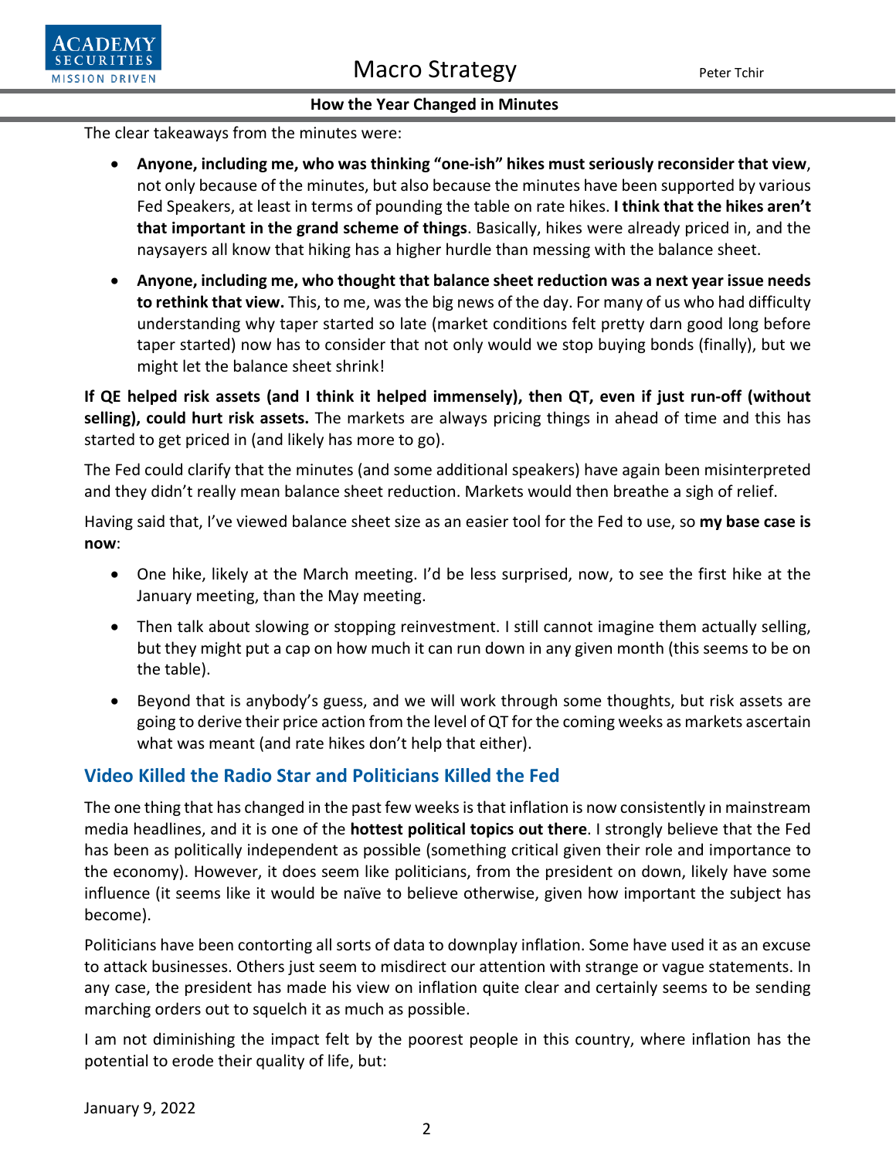

### **How the Year Changed in Minutes**

The clear takeaways from the minutes were:

- **Anyone, including me, who was thinking "one-ish" hikes must seriously reconsider that view**, not only because of the minutes, but also because the minutes have been supported by various Fed Speakers, at least in terms of pounding the table on rate hikes. **I think that the hikes aren't that important in the grand scheme of things**. Basically, hikes were already priced in, and the naysayers all know that hiking has a higher hurdle than messing with the balance sheet.
- **Anyone, including me, who thought that balance sheet reduction was a next year issue needs to rethink that view.** This, to me, was the big news of the day. For many of us who had difficulty understanding why taper started so late (market conditions felt pretty darn good long before taper started) now has to consider that not only would we stop buying bonds (finally), but we might let the balance sheet shrink!

**If QE helped risk assets (and I think it helped immensely), then QT, even if just run-off (without selling), could hurt risk assets.** The markets are always pricing things in ahead of time and this has started to get priced in (and likely has more to go).

The Fed could clarify that the minutes (and some additional speakers) have again been misinterpreted and they didn't really mean balance sheet reduction. Markets would then breathe a sigh of relief.

Having said that, I've viewed balance sheet size as an easier tool for the Fed to use, so **my base case is now**:

- One hike, likely at the March meeting. I'd be less surprised, now, to see the first hike at the January meeting, than the May meeting.
- Then talk about slowing or stopping reinvestment. I still cannot imagine them actually selling, but they might put a cap on how much it can run down in any given month (this seems to be on the table).
- Beyond that is anybody's guess, and we will work through some thoughts, but risk assets are going to derive their price action from the level of QT for the coming weeks as markets ascertain what was meant (and rate hikes don't help that either).

## **Video Killed the Radio Star and Politicians Killed the Fed**

The one thing that has changed in the past few weeks is that inflation is now consistently in mainstream media headlines, and it is one of the **hottest political topics out there**. I strongly believe that the Fed has been as politically independent as possible (something critical given their role and importance to the economy). However, it does seem like politicians, from the president on down, likely have some influence (it seems like it would be naïve to believe otherwise, given how important the subject has become).

Politicians have been contorting all sorts of data to downplay inflation. Some have used it as an excuse to attack businesses. Others just seem to misdirect our attention with strange or vague statements. In any case, the president has made his view on inflation quite clear and certainly seems to be sending marching orders out to squelch it as much as possible.

I am not diminishing the impact felt by the poorest people in this country, where inflation has the potential to erode their quality of life, but: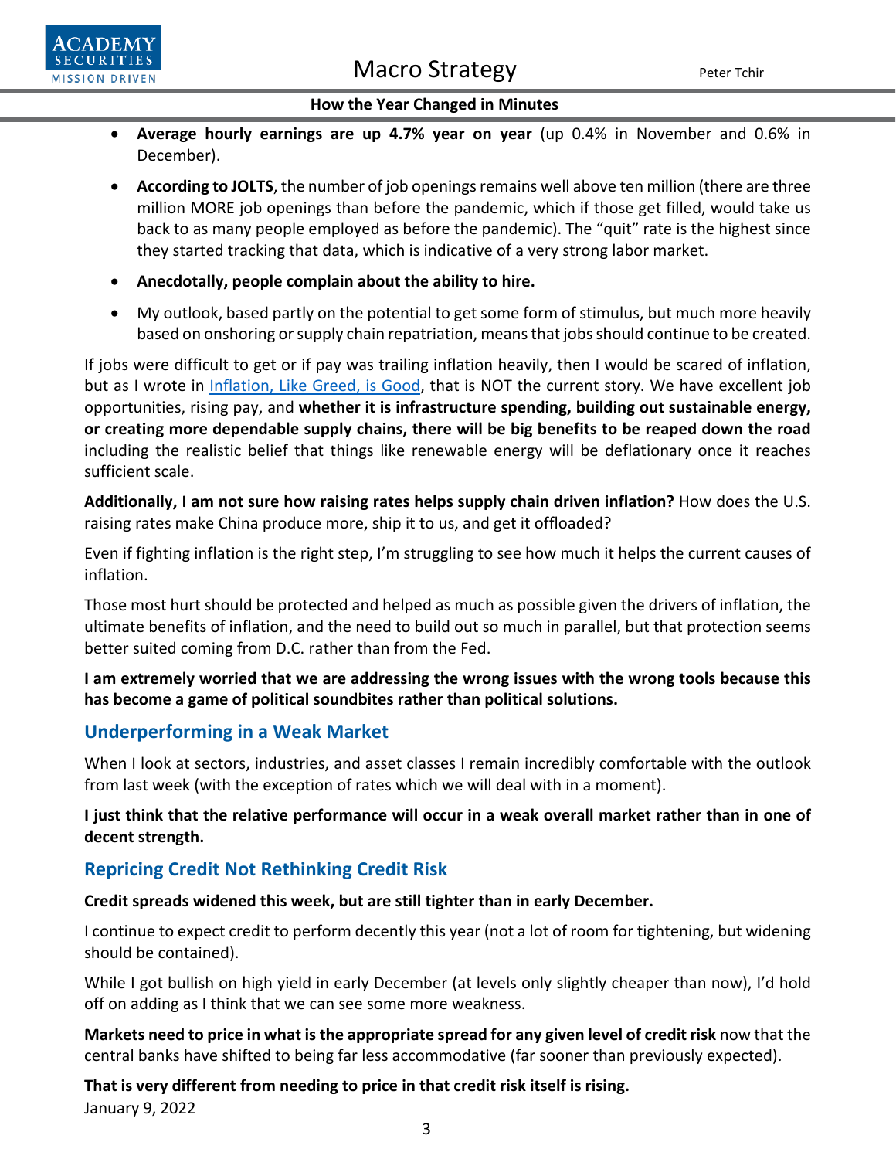Macro Strategy Peter Tchir



### **How the Year Changed in Minutes**

- **Average hourly earnings are up 4.7% year on year** (up 0.4% in November and 0.6% in December).
- **According to JOLTS**, the number of job openings remains well above ten million (there are three million MORE job openings than before the pandemic, which if those get filled, would take us back to as many people employed as before the pandemic). The "quit" rate is the highest since they started tracking that data, which is indicative of a very strong labor market.
- **Anecdotally, people complain about the ability to hire.**
- My outlook, based partly on the potential to get some form of stimulus, but much more heavily based on onshoring or supply chain repatriation, meansthat jobs should continue to be created.

If jobs were difficult to get or if pay was trailing inflation heavily, then I would be scared of inflation, but as I wrote in [Inflation, Like Greed, is Good,](https://www.academysecurities.com/wordpress/wp-content/uploads/2021/12/Inflation-Like-Greed-Is-Good.pdf) that is NOT the current story. We have excellent job opportunities, rising pay, and **whether it is infrastructure spending, building out sustainable energy, or creating more dependable supply chains, there will be big benefits to be reaped down the road** including the realistic belief that things like renewable energy will be deflationary once it reaches sufficient scale.

**Additionally, I am not sure how raising rates helps supply chain driven inflation?** How does the U.S. raising rates make China produce more, ship it to us, and get it offloaded?

Even if fighting inflation is the right step, I'm struggling to see how much it helps the current causes of inflation.

Those most hurt should be protected and helped as much as possible given the drivers of inflation, the ultimate benefits of inflation, and the need to build out so much in parallel, but that protection seems better suited coming from D.C. rather than from the Fed.

## **I am extremely worried that we are addressing the wrong issues with the wrong tools because this has become a game of political soundbites rather than political solutions.**

## **Underperforming in a Weak Market**

When I look at sectors, industries, and asset classes I remain incredibly comfortable with the outlook from last week (with the exception of rates which we will deal with in a moment).

**I just think that the relative performance will occur in a weak overall market rather than in one of decent strength.**

## **Repricing Credit Not Rethinking Credit Risk**

### **Credit spreads widened this week, but are still tighter than in early December.**

I continue to expect credit to perform decently this year (not a lot of room for tightening, but widening should be contained).

While I got bullish on high yield in early December (at levels only slightly cheaper than now), I'd hold off on adding as I think that we can see some more weakness.

**Markets need to price in what is the appropriate spread for any given level of credit risk** now that the central banks have shifted to being far less accommodative (far sooner than previously expected).

January 9, 2022 **That is very different from needing to price in that credit risk itself is rising.**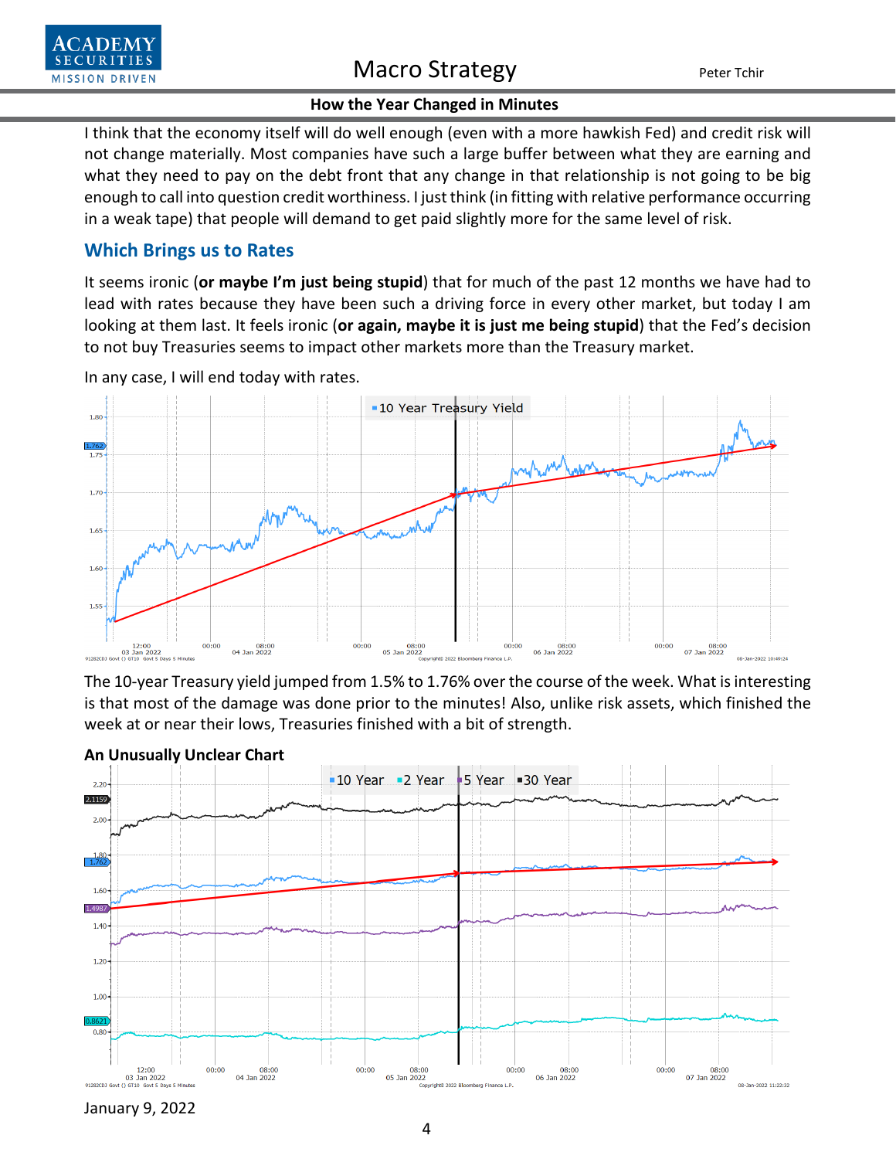

## Macro Strategy Peter Tchir

### **How the Year Changed in Minutes**

I think that the economy itself will do well enough (even with a more hawkish Fed) and credit risk will not change materially. Most companies have such a large buffer between what they are earning and what they need to pay on the debt front that any change in that relationship is not going to be big enough to call into question credit worthiness. I just think (in fitting with relative performance occurring in a weak tape) that people will demand to get paid slightly more for the same level of risk.

### **Which Brings us to Rates**

It seems ironic (**or maybe I'm just being stupid**) that for much of the past 12 months we have had to lead with rates because they have been such a driving force in every other market, but today I am looking at them last. It feels ironic (**or again, maybe it is just me being stupid**) that the Fed's decision to not buy Treasuries seems to impact other markets more than the Treasury market.



In any case, I will end today with rates.

The 10-year Treasury yield jumped from 1.5% to 1.76% over the course of the week. What is interesting is that most of the damage was done prior to the minutes! Also, unlike risk assets, which finished the week at or near their lows, Treasuries finished with a bit of strength.



### **An Unusually Unclear Chart**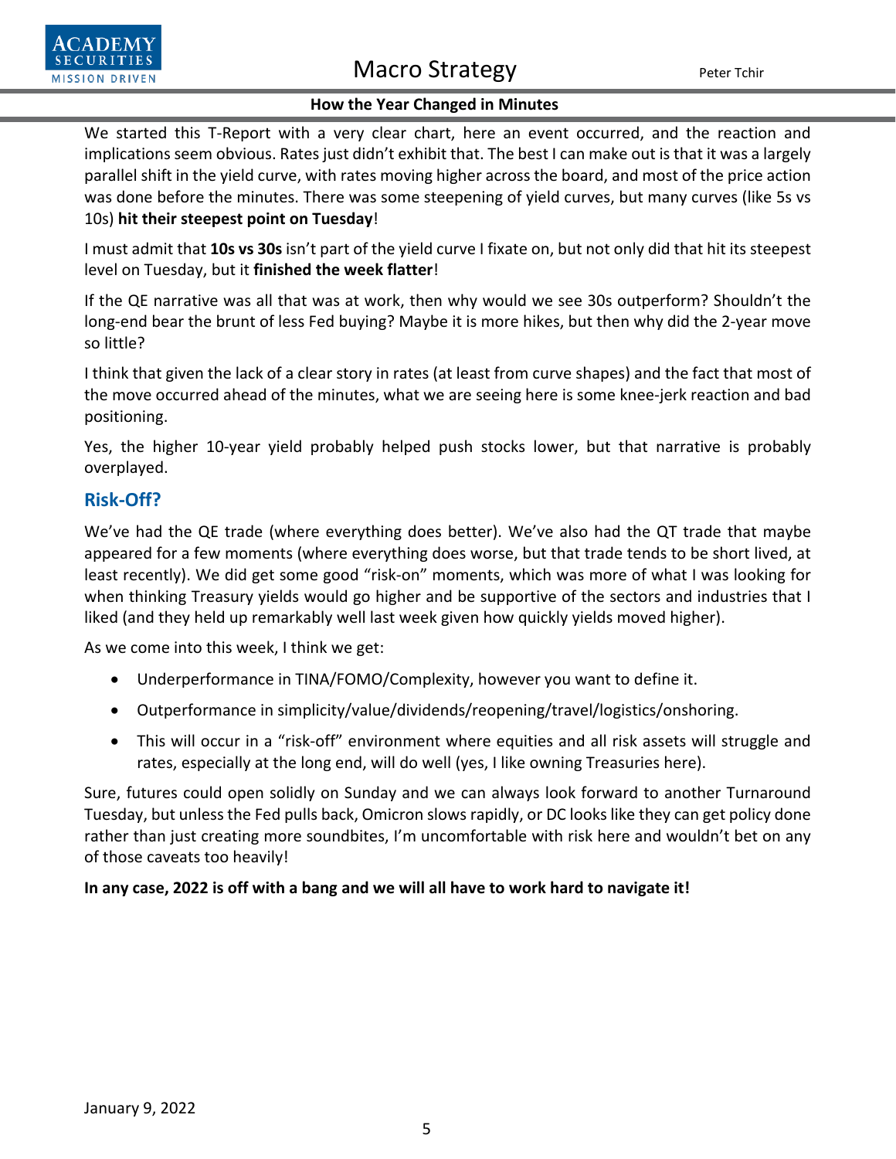

# Macro Strategy Peter Tchir

### **How the Year Changed in Minutes**

We started this T-Report with a very clear chart, here an event occurred, and the reaction and implications seem obvious. Rates just didn't exhibit that. The best I can make out is that it was a largely parallel shift in the yield curve, with rates moving higher across the board, and most of the price action was done before the minutes. There was some steepening of yield curves, but many curves (like 5s vs 10s) **hit their steepest point on Tuesday**!

I must admit that **10s vs 30s** isn't part of the yield curve I fixate on, but not only did that hit its steepest level on Tuesday, but it **finished the week flatter**!

If the QE narrative was all that was at work, then why would we see 30s outperform? Shouldn't the long-end bear the brunt of less Fed buying? Maybe it is more hikes, but then why did the 2-year move so little?

I think that given the lack of a clear story in rates (at least from curve shapes) and the fact that most of the move occurred ahead of the minutes, what we are seeing here is some knee-jerk reaction and bad positioning.

Yes, the higher 10-year yield probably helped push stocks lower, but that narrative is probably overplayed.

## **Risk-Off?**

We've had the QE trade (where everything does better). We've also had the QT trade that maybe appeared for a few moments (where everything does worse, but that trade tends to be short lived, at least recently). We did get some good "risk-on" moments, which was more of what I was looking for when thinking Treasury yields would go higher and be supportive of the sectors and industries that I liked (and they held up remarkably well last week given how quickly yields moved higher).

As we come into this week, I think we get:

- Underperformance in TINA/FOMO/Complexity, however you want to define it.
- Outperformance in simplicity/value/dividends/reopening/travel/logistics/onshoring.
- This will occur in a "risk-off" environment where equities and all risk assets will struggle and rates, especially at the long end, will do well (yes, I like owning Treasuries here).

Sure, futures could open solidly on Sunday and we can always look forward to another Turnaround Tuesday, but unless the Fed pulls back, Omicron slows rapidly, or DC looks like they can get policy done rather than just creating more soundbites, I'm uncomfortable with risk here and wouldn't bet on any of those caveats too heavily!

### **In any case, 2022 is off with a bang and we will all have to work hard to navigate it!**